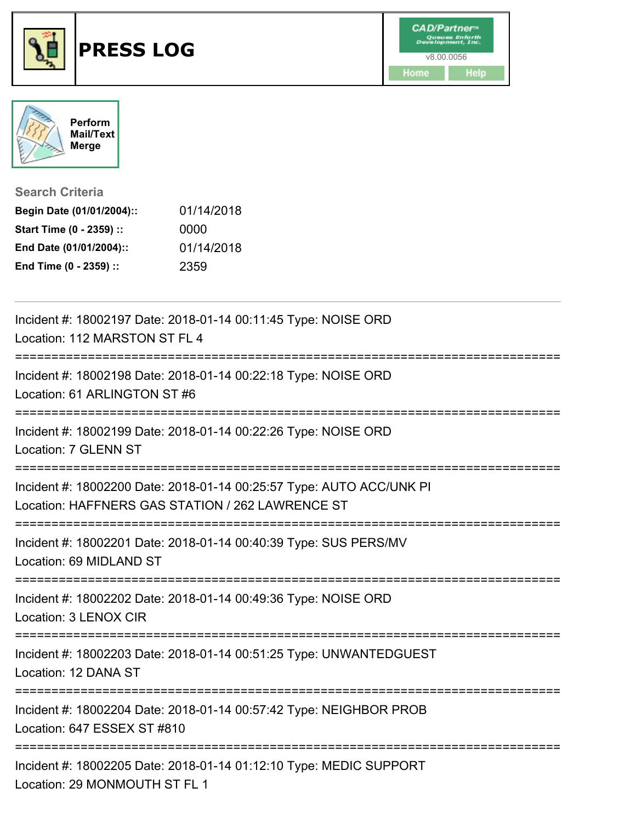



**Search Criteria**

| Begin Date (01/01/2004):: | 01/14/2018 |
|---------------------------|------------|
| Start Time (0 - 2359) ::  | 0000       |
| End Date (01/01/2004)::   | 01/14/2018 |
| End Time (0 - 2359) ::    | 2359       |

| Incident #: 18002197 Date: 2018-01-14 00:11:45 Type: NOISE ORD<br>Location: 112 MARSTON ST FL 4                          |
|--------------------------------------------------------------------------------------------------------------------------|
| Incident #: 18002198 Date: 2018-01-14 00:22:18 Type: NOISE ORD<br>Location: 61 ARLINGTON ST #6                           |
| Incident #: 18002199 Date: 2018-01-14 00:22:26 Type: NOISE ORD<br>Location: 7 GLENN ST                                   |
| Incident #: 18002200 Date: 2018-01-14 00:25:57 Type: AUTO ACC/UNK PI<br>Location: HAFFNERS GAS STATION / 262 LAWRENCE ST |
| Incident #: 18002201 Date: 2018-01-14 00:40:39 Type: SUS PERS/MV<br>Location: 69 MIDLAND ST                              |
| Incident #: 18002202 Date: 2018-01-14 00:49:36 Type: NOISE ORD<br>Location: 3 LENOX CIR                                  |
| Incident #: 18002203 Date: 2018-01-14 00:51:25 Type: UNWANTEDGUEST<br>Location: 12 DANA ST                               |
| Incident #: 18002204 Date: 2018-01-14 00:57:42 Type: NEIGHBOR PROB<br>Location: 647 ESSEX ST #810                        |
| Incident #: 18002205 Date: 2018-01-14 01:12:10 Type: MEDIC SUPPORT<br>Location: 29 MONMOUTH ST FL 1                      |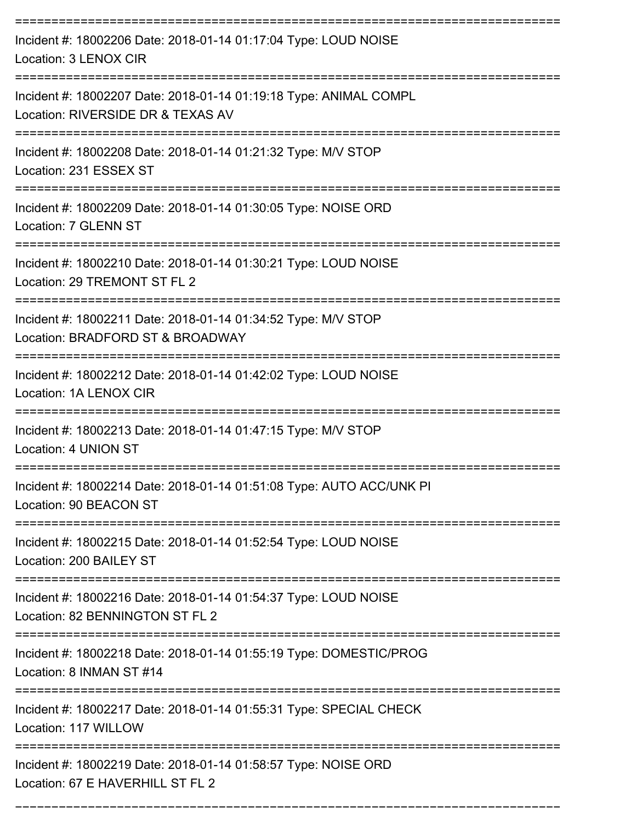| Incident #: 18002206 Date: 2018-01-14 01:17:04 Type: LOUD NOISE<br>Location: 3 LENOX CIR               |
|--------------------------------------------------------------------------------------------------------|
| Incident #: 18002207 Date: 2018-01-14 01:19:18 Type: ANIMAL COMPL<br>Location: RIVERSIDE DR & TEXAS AV |
| Incident #: 18002208 Date: 2018-01-14 01:21:32 Type: M/V STOP<br>Location: 231 ESSEX ST                |
| Incident #: 18002209 Date: 2018-01-14 01:30:05 Type: NOISE ORD<br>Location: 7 GLENN ST                 |
| Incident #: 18002210 Date: 2018-01-14 01:30:21 Type: LOUD NOISE<br>Location: 29 TREMONT ST FL 2        |
| Incident #: 18002211 Date: 2018-01-14 01:34:52 Type: M/V STOP<br>Location: BRADFORD ST & BROADWAY      |
| Incident #: 18002212 Date: 2018-01-14 01:42:02 Type: LOUD NOISE<br>Location: 1A LENOX CIR              |
| Incident #: 18002213 Date: 2018-01-14 01:47:15 Type: M/V STOP<br>Location: 4 UNION ST                  |
| Incident #: 18002214 Date: 2018-01-14 01:51:08 Type: AUTO ACC/UNK PI<br>Location: 90 BEACON ST         |
| Incident #: 18002215 Date: 2018-01-14 01:52:54 Type: LOUD NOISE<br>Location: 200 BAILEY ST             |
| Incident #: 18002216 Date: 2018-01-14 01:54:37 Type: LOUD NOISE<br>Location: 82 BENNINGTON ST FL 2     |
| Incident #: 18002218 Date: 2018-01-14 01:55:19 Type: DOMESTIC/PROG<br>Location: 8 INMAN ST #14         |
| Incident #: 18002217 Date: 2018-01-14 01:55:31 Type: SPECIAL CHECK<br>Location: 117 WILLOW             |
| Incident #: 18002219 Date: 2018-01-14 01:58:57 Type: NOISE ORD<br>Location: 67 E HAVERHILL ST FL 2     |

===========================================================================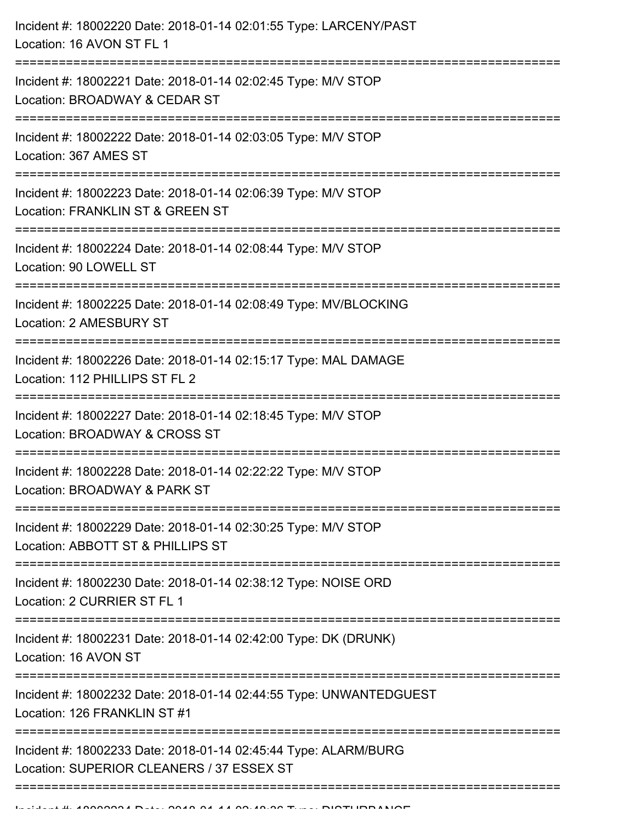| Incident #: 18002221 Date: 2018-01-14 02:02:45 Type: M/V STOP<br>Location: BROADWAY & CEDAR ST<br>Incident #: 18002222 Date: 2018-01-14 02:03:05 Type: M/V STOP<br>Location: 367 AMES ST<br>Incident #: 18002223 Date: 2018-01-14 02:06:39 Type: M/V STOP<br>Location: FRANKLIN ST & GREEN ST<br>Incident #: 18002224 Date: 2018-01-14 02:08:44 Type: M/V STOP<br>Location: 90 LOWELL ST<br>Incident #: 18002225 Date: 2018-01-14 02:08:49 Type: MV/BLOCKING<br>Location: 2 AMESBURY ST<br>Incident #: 18002226 Date: 2018-01-14 02:15:17 Type: MAL DAMAGE<br>Location: 112 PHILLIPS ST FL 2<br>Incident #: 18002227 Date: 2018-01-14 02:18:45 Type: M/V STOP<br>Location: BROADWAY & CROSS ST<br>Incident #: 18002228 Date: 2018-01-14 02:22:22 Type: M/V STOP<br>Location: BROADWAY & PARK ST<br>Incident #: 18002229 Date: 2018-01-14 02:30:25 Type: M/V STOP<br>Location: ABBOTT ST & PHILLIPS ST<br>Incident #: 18002230 Date: 2018-01-14 02:38:12 Type: NOISE ORD<br>Location: 2 CURRIER ST FL 1<br>Incident #: 18002231 Date: 2018-01-14 02:42:00 Type: DK (DRUNK)<br>Location: 16 AVON ST<br>Incident #: 18002232 Date: 2018-01-14 02:44:55 Type: UNWANTEDGUEST<br>Location: 126 FRANKLIN ST #1<br>Incident #: 18002233 Date: 2018-01-14 02:45:44 Type: ALARM/BURG<br>Location: SUPERIOR CLEANERS / 37 ESSEX ST | Incident #: 18002220 Date: 2018-01-14 02:01:55 Type: LARCENY/PAST<br>Location: 16 AVON ST FL 1 |
|-------------------------------------------------------------------------------------------------------------------------------------------------------------------------------------------------------------------------------------------------------------------------------------------------------------------------------------------------------------------------------------------------------------------------------------------------------------------------------------------------------------------------------------------------------------------------------------------------------------------------------------------------------------------------------------------------------------------------------------------------------------------------------------------------------------------------------------------------------------------------------------------------------------------------------------------------------------------------------------------------------------------------------------------------------------------------------------------------------------------------------------------------------------------------------------------------------------------------------------------------------------------------------------------------------------------------|------------------------------------------------------------------------------------------------|
|                                                                                                                                                                                                                                                                                                                                                                                                                                                                                                                                                                                                                                                                                                                                                                                                                                                                                                                                                                                                                                                                                                                                                                                                                                                                                                                         |                                                                                                |
|                                                                                                                                                                                                                                                                                                                                                                                                                                                                                                                                                                                                                                                                                                                                                                                                                                                                                                                                                                                                                                                                                                                                                                                                                                                                                                                         |                                                                                                |
|                                                                                                                                                                                                                                                                                                                                                                                                                                                                                                                                                                                                                                                                                                                                                                                                                                                                                                                                                                                                                                                                                                                                                                                                                                                                                                                         |                                                                                                |
|                                                                                                                                                                                                                                                                                                                                                                                                                                                                                                                                                                                                                                                                                                                                                                                                                                                                                                                                                                                                                                                                                                                                                                                                                                                                                                                         |                                                                                                |
|                                                                                                                                                                                                                                                                                                                                                                                                                                                                                                                                                                                                                                                                                                                                                                                                                                                                                                                                                                                                                                                                                                                                                                                                                                                                                                                         |                                                                                                |
|                                                                                                                                                                                                                                                                                                                                                                                                                                                                                                                                                                                                                                                                                                                                                                                                                                                                                                                                                                                                                                                                                                                                                                                                                                                                                                                         |                                                                                                |
|                                                                                                                                                                                                                                                                                                                                                                                                                                                                                                                                                                                                                                                                                                                                                                                                                                                                                                                                                                                                                                                                                                                                                                                                                                                                                                                         |                                                                                                |
|                                                                                                                                                                                                                                                                                                                                                                                                                                                                                                                                                                                                                                                                                                                                                                                                                                                                                                                                                                                                                                                                                                                                                                                                                                                                                                                         |                                                                                                |
|                                                                                                                                                                                                                                                                                                                                                                                                                                                                                                                                                                                                                                                                                                                                                                                                                                                                                                                                                                                                                                                                                                                                                                                                                                                                                                                         |                                                                                                |
|                                                                                                                                                                                                                                                                                                                                                                                                                                                                                                                                                                                                                                                                                                                                                                                                                                                                                                                                                                                                                                                                                                                                                                                                                                                                                                                         |                                                                                                |
|                                                                                                                                                                                                                                                                                                                                                                                                                                                                                                                                                                                                                                                                                                                                                                                                                                                                                                                                                                                                                                                                                                                                                                                                                                                                                                                         |                                                                                                |
|                                                                                                                                                                                                                                                                                                                                                                                                                                                                                                                                                                                                                                                                                                                                                                                                                                                                                                                                                                                                                                                                                                                                                                                                                                                                                                                         |                                                                                                |
|                                                                                                                                                                                                                                                                                                                                                                                                                                                                                                                                                                                                                                                                                                                                                                                                                                                                                                                                                                                                                                                                                                                                                                                                                                                                                                                         |                                                                                                |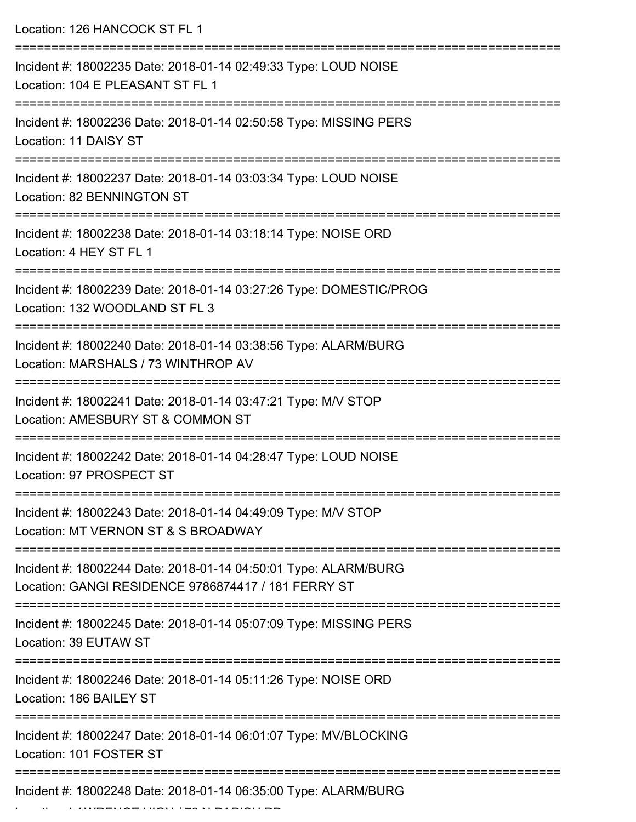| Location: 126 HANCOCK ST FL 1                                                                                                        |
|--------------------------------------------------------------------------------------------------------------------------------------|
| Incident #: 18002235 Date: 2018-01-14 02:49:33 Type: LOUD NOISE<br>Location: 104 E PLEASANT ST FL 1                                  |
| Incident #: 18002236 Date: 2018-01-14 02:50:58 Type: MISSING PERS<br>Location: 11 DAISY ST                                           |
| Incident #: 18002237 Date: 2018-01-14 03:03:34 Type: LOUD NOISE<br>Location: 82 BENNINGTON ST                                        |
| Incident #: 18002238 Date: 2018-01-14 03:18:14 Type: NOISE ORD<br>Location: 4 HEY ST FL 1                                            |
| Incident #: 18002239 Date: 2018-01-14 03:27:26 Type: DOMESTIC/PROG<br>Location: 132 WOODLAND ST FL 3                                 |
| Incident #: 18002240 Date: 2018-01-14 03:38:56 Type: ALARM/BURG<br>Location: MARSHALS / 73 WINTHROP AV<br>-------------------------- |
| Incident #: 18002241 Date: 2018-01-14 03:47:21 Type: M/V STOP<br>Location: AMESBURY ST & COMMON ST                                   |
| Incident #: 18002242 Date: 2018-01-14 04:28:47 Type: LOUD NOISE<br>Location: 97 PROSPECT ST                                          |
| Incident #: 18002243 Date: 2018-01-14 04:49:09 Type: M/V STOP<br>Location: MT VERNON ST & S BROADWAY                                 |
| Incident #: 18002244 Date: 2018-01-14 04:50:01 Type: ALARM/BURG<br>Location: GANGI RESIDENCE 9786874417 / 181 FERRY ST               |
| Incident #: 18002245 Date: 2018-01-14 05:07:09 Type: MISSING PERS<br>Location: 39 EUTAW ST                                           |
| Incident #: 18002246 Date: 2018-01-14 05:11:26 Type: NOISE ORD<br>Location: 186 BAILEY ST                                            |
| Incident #: 18002247 Date: 2018-01-14 06:01:07 Type: MV/BLOCKING<br>Location: 101 FOSTER ST                                          |
| ________________<br>Incident #: 18002248 Date: 2018-01-14 06:35:00 Type: ALARM/BURG                                                  |

Location: LAWRENCE HIGH / 70 N PARISH RD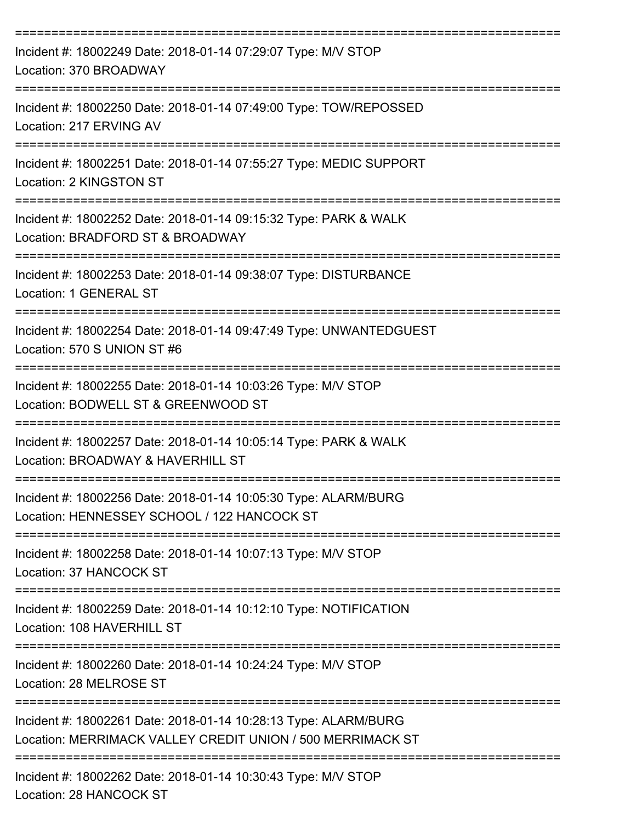| Incident #: 18002249 Date: 2018-01-14 07:29:07 Type: M/V STOP<br>Location: 370 BROADWAY                                                                                                  |
|------------------------------------------------------------------------------------------------------------------------------------------------------------------------------------------|
| Incident #: 18002250 Date: 2018-01-14 07:49:00 Type: TOW/REPOSSED<br>Location: 217 ERVING AV                                                                                             |
| Incident #: 18002251 Date: 2018-01-14 07:55:27 Type: MEDIC SUPPORT<br>Location: 2 KINGSTON ST                                                                                            |
| Incident #: 18002252 Date: 2018-01-14 09:15:32 Type: PARK & WALK<br>Location: BRADFORD ST & BROADWAY                                                                                     |
| Incident #: 18002253 Date: 2018-01-14 09:38:07 Type: DISTURBANCE<br><b>Location: 1 GENERAL ST</b>                                                                                        |
| Incident #: 18002254 Date: 2018-01-14 09:47:49 Type: UNWANTEDGUEST<br>Location: 570 S UNION ST #6                                                                                        |
| Incident #: 18002255 Date: 2018-01-14 10:03:26 Type: M/V STOP<br>Location: BODWELL ST & GREENWOOD ST                                                                                     |
| Incident #: 18002257 Date: 2018-01-14 10:05:14 Type: PARK & WALK<br>Location: BROADWAY & HAVERHILL ST                                                                                    |
| Incident #: 18002256 Date: 2018-01-14 10:05:30 Type: ALARM/BURG<br>Location: HENNESSEY SCHOOL / 122 HANCOCK ST<br>-----------------------------------<br>---------====================== |
| Incident #: 18002258 Date: 2018-01-14 10:07:13 Type: M/V STOP<br>Location: 37 HANCOCK ST                                                                                                 |
| Incident #: 18002259 Date: 2018-01-14 10:12:10 Type: NOTIFICATION<br>Location: 108 HAVERHILL ST                                                                                          |
| Incident #: 18002260 Date: 2018-01-14 10:24:24 Type: M/V STOP<br>Location: 28 MELROSE ST                                                                                                 |
| Incident #: 18002261 Date: 2018-01-14 10:28:13 Type: ALARM/BURG<br>Location: MERRIMACK VALLEY CREDIT UNION / 500 MERRIMACK ST                                                            |
| Incident #: 18002262 Date: 2018-01-14 10:30:43 Type: M/V STOP                                                                                                                            |

Location: 28 HANCOCK ST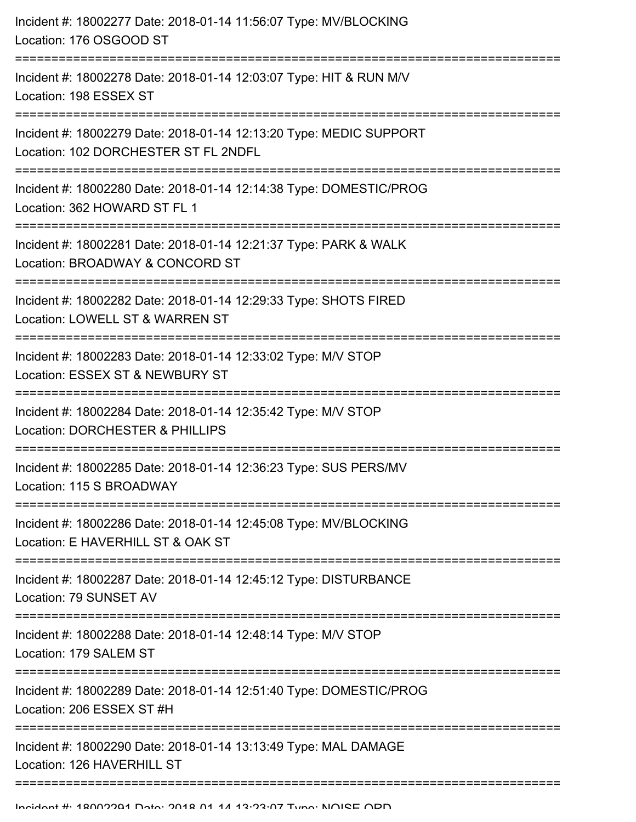| Incident #: 18002277 Date: 2018-01-14 11:56:07 Type: MV/BLOCKING<br>Location: 176 OSGOOD ST                                    |
|--------------------------------------------------------------------------------------------------------------------------------|
| Incident #: 18002278 Date: 2018-01-14 12:03:07 Type: HIT & RUN M/V<br>Location: 198 ESSEX ST                                   |
| Incident #: 18002279 Date: 2018-01-14 12:13:20 Type: MEDIC SUPPORT<br>Location: 102 DORCHESTER ST FL 2NDFL                     |
| Incident #: 18002280 Date: 2018-01-14 12:14:38 Type: DOMESTIC/PROG<br>Location: 362 HOWARD ST FL 1<br>------------------------ |
| Incident #: 18002281 Date: 2018-01-14 12:21:37 Type: PARK & WALK<br>Location: BROADWAY & CONCORD ST                            |
| Incident #: 18002282 Date: 2018-01-14 12:29:33 Type: SHOTS FIRED<br>Location: LOWELL ST & WARREN ST                            |
| Incident #: 18002283 Date: 2018-01-14 12:33:02 Type: M/V STOP<br>Location: ESSEX ST & NEWBURY ST                               |
| Incident #: 18002284 Date: 2018-01-14 12:35:42 Type: M/V STOP<br>Location: DORCHESTER & PHILLIPS                               |
| Incident #: 18002285 Date: 2018-01-14 12:36:23 Type: SUS PERS/MV<br>Location: 115 S BROADWAY                                   |
| Incident #: 18002286 Date: 2018-01-14 12:45:08 Type: MV/BLOCKING<br>Location: E HAVERHILL ST & OAK ST                          |
| Incident #: 18002287 Date: 2018-01-14 12:45:12 Type: DISTURBANCE<br>Location: 79 SUNSET AV                                     |
| Incident #: 18002288 Date: 2018-01-14 12:48:14 Type: M/V STOP<br>Location: 179 SALEM ST                                        |
| Incident #: 18002289 Date: 2018-01-14 12:51:40 Type: DOMESTIC/PROG<br>Location: 206 ESSEX ST #H                                |
| Incident #: 18002290 Date: 2018-01-14 13:13:49 Type: MAL DAMAGE<br>Location: 126 HAVERHILL ST                                  |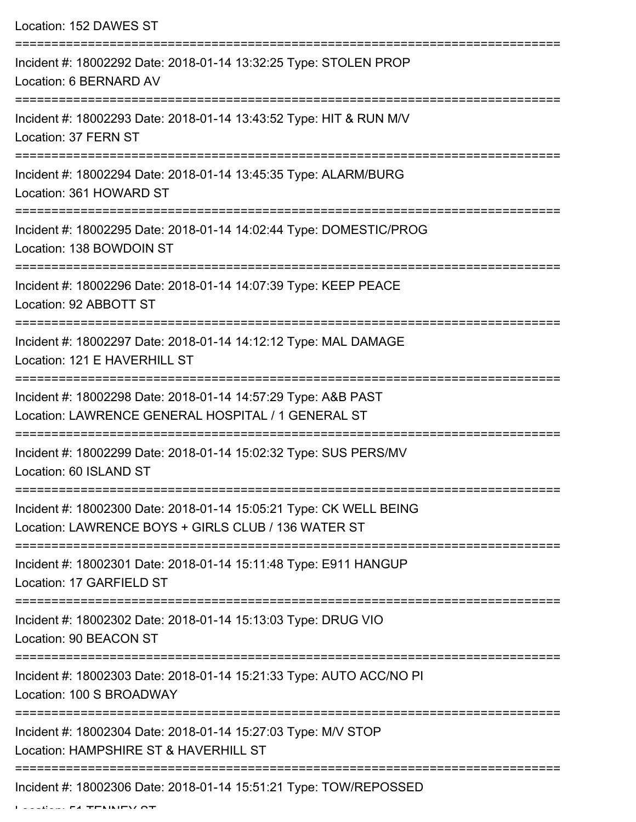Location: 152 DAWES ST =========================================================================== Incident #: 18002292 Date: 2018-01-14 13:32:25 Type: STOLEN PROP Location: 6 BERNARD AV =========================================================================== Incident #: 18002293 Date: 2018-01-14 13:43:52 Type: HIT & RUN M/V Location: 37 FERN ST =========================================================================== Incident #: 18002294 Date: 2018-01-14 13:45:35 Type: ALARM/BURG Location: 361 HOWARD ST =========================================================================== Incident #: 18002295 Date: 2018-01-14 14:02:44 Type: DOMESTIC/PROG Location: 138 BOWDOIN ST =========================================================================== Incident #: 18002296 Date: 2018-01-14 14:07:39 Type: KEEP PEACE Location: 92 ABBOTT ST =========================================================================== Incident #: 18002297 Date: 2018-01-14 14:12:12 Type: MAL DAMAGE Location: 121 E HAVERHILL ST =========================================================================== Incident #: 18002298 Date: 2018-01-14 14:57:29 Type: A&B PAST Location: LAWRENCE GENERAL HOSPITAL / 1 GENERAL ST =========================================================================== Incident #: 18002299 Date: 2018-01-14 15:02:32 Type: SUS PERS/MV Location: 60 ISLAND ST =========================================================================== Incident #: 18002300 Date: 2018-01-14 15:05:21 Type: CK WELL BEING Location: LAWRENCE BOYS + GIRLS CLUB / 136 WATER ST =========================================================================== Incident #: 18002301 Date: 2018-01-14 15:11:48 Type: E911 HANGUP Location: 17 GARFIELD ST =========================================================================== Incident #: 18002302 Date: 2018-01-14 15:13:03 Type: DRUG VIO Location: 90 BEACON ST =========================================================================== Incident #: 18002303 Date: 2018-01-14 15:21:33 Type: AUTO ACC/NO PI Location: 100 S BROADWAY =========================================================================== Incident #: 18002304 Date: 2018-01-14 15:27:03 Type: M/V STOP Location: HAMPSHIRE ST & HAVERHILL ST =========================================================================== Incident #: 18002306 Date: 2018-01-14 15:51:21 Type: TOW/REPOSSED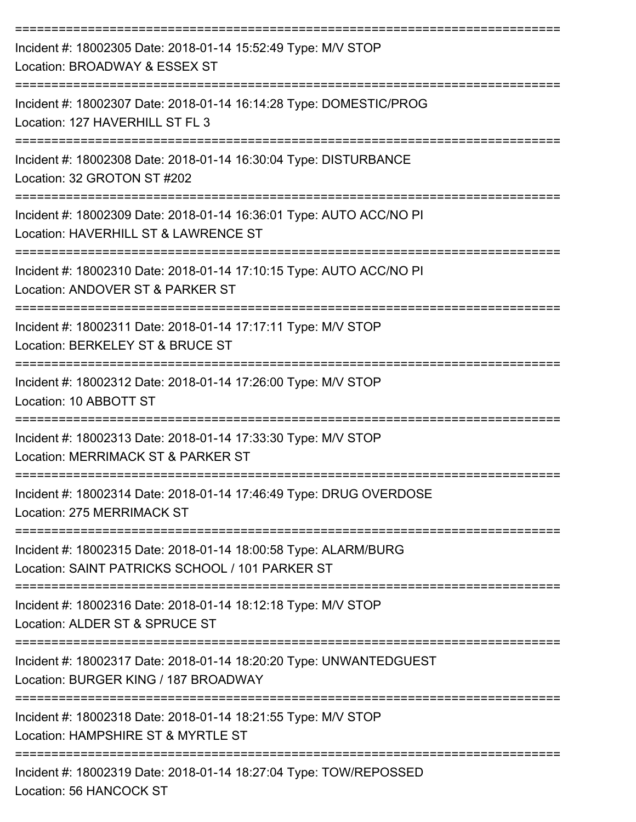| Incident #: 18002305 Date: 2018-01-14 15:52:49 Type: M/V STOP<br>Location: BROADWAY & ESSEX ST<br>---------------------------                        |
|------------------------------------------------------------------------------------------------------------------------------------------------------|
| Incident #: 18002307 Date: 2018-01-14 16:14:28 Type: DOMESTIC/PROG<br>Location: 127 HAVERHILL ST FL 3                                                |
| Incident #: 18002308 Date: 2018-01-14 16:30:04 Type: DISTURBANCE<br>Location: 32 GROTON ST #202                                                      |
| Incident #: 18002309 Date: 2018-01-14 16:36:01 Type: AUTO ACC/NO PI<br>Location: HAVERHILL ST & LAWRENCE ST                                          |
| Incident #: 18002310 Date: 2018-01-14 17:10:15 Type: AUTO ACC/NO PI<br>Location: ANDOVER ST & PARKER ST                                              |
| Incident #: 18002311 Date: 2018-01-14 17:17:11 Type: M/V STOP<br>Location: BERKELEY ST & BRUCE ST                                                    |
| Incident #: 18002312 Date: 2018-01-14 17:26:00 Type: M/V STOP<br>Location: 10 ABBOTT ST                                                              |
| Incident #: 18002313 Date: 2018-01-14 17:33:30 Type: M/V STOP<br>Location: MERRIMACK ST & PARKER ST                                                  |
| Incident #: 18002314 Date: 2018-01-14 17:46:49 Type: DRUG OVERDOSE<br>Location: 275 MERRIMACK ST                                                     |
| Incident #: 18002315 Date: 2018-01-14 18:00:58 Type: ALARM/BURG<br>Location: SAINT PATRICKS SCHOOL / 101 PARKER ST                                   |
| Incident #: 18002316 Date: 2018-01-14 18:12:18 Type: M/V STOP<br>Location: ALDER ST & SPRUCE ST                                                      |
| --------------------------------------<br>Incident #: 18002317 Date: 2018-01-14 18:20:20 Type: UNWANTEDGUEST<br>Location: BURGER KING / 187 BROADWAY |
| Incident #: 18002318 Date: 2018-01-14 18:21:55 Type: M/V STOP<br>Location: HAMPSHIRE ST & MYRTLE ST                                                  |
| Incident #: 18002319 Date: 2018-01-14 18:27:04 Type: TOW/REPOSSED<br>Location: 56 HANCOCK ST                                                         |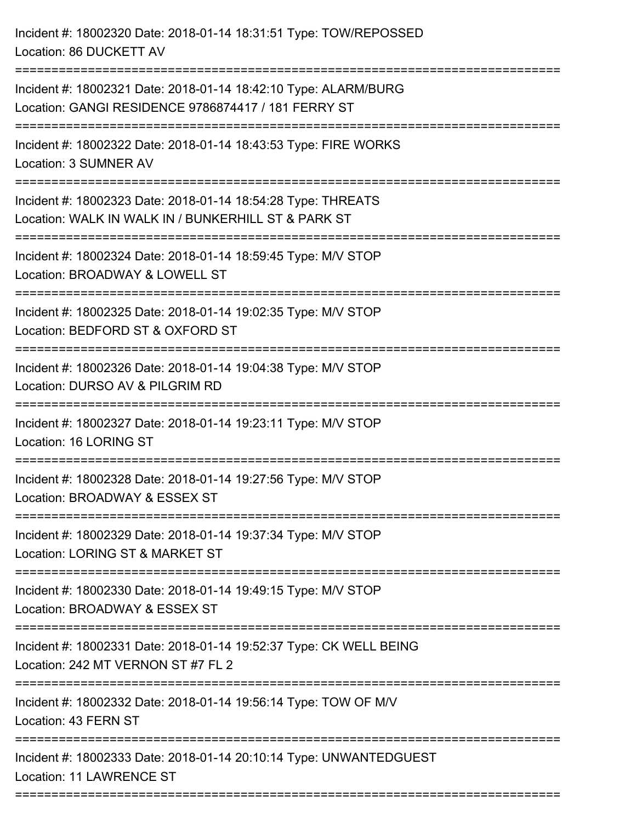| Incident #: 18002320 Date: 2018-01-14 18:31:51 Type: TOW/REPOSSED<br>Location: 86 DUCKETT AV                                             |
|------------------------------------------------------------------------------------------------------------------------------------------|
| Incident #: 18002321 Date: 2018-01-14 18:42:10 Type: ALARM/BURG<br>Location: GANGI RESIDENCE 9786874417 / 181 FERRY ST                   |
| Incident #: 18002322 Date: 2018-01-14 18:43:53 Type: FIRE WORKS<br>Location: 3 SUMNER AV                                                 |
| Incident #: 18002323 Date: 2018-01-14 18:54:28 Type: THREATS<br>Location: WALK IN WALK IN / BUNKERHILL ST & PARK ST<br>----------------- |
| Incident #: 18002324 Date: 2018-01-14 18:59:45 Type: M/V STOP<br>Location: BROADWAY & LOWELL ST                                          |
| Incident #: 18002325 Date: 2018-01-14 19:02:35 Type: M/V STOP<br>Location: BEDFORD ST & OXFORD ST<br>=================                   |
| Incident #: 18002326 Date: 2018-01-14 19:04:38 Type: M/V STOP<br>Location: DURSO AV & PILGRIM RD                                         |
| Incident #: 18002327 Date: 2018-01-14 19:23:11 Type: M/V STOP<br>Location: 16 LORING ST                                                  |
| Incident #: 18002328 Date: 2018-01-14 19:27:56 Type: M/V STOP<br>Location: BROADWAY & ESSEX ST                                           |
| Incident #: 18002329 Date: 2018-01-14 19:37:34 Type: M/V STOP<br>Location: LORING ST & MARKET ST                                         |
| Incident #: 18002330 Date: 2018-01-14 19:49:15 Type: M/V STOP<br>Location: BROADWAY & ESSEX ST                                           |
| Incident #: 18002331 Date: 2018-01-14 19:52:37 Type: CK WELL BEING<br>Location: 242 MT VERNON ST #7 FL 2                                 |
| Incident #: 18002332 Date: 2018-01-14 19:56:14 Type: TOW OF M/V<br>Location: 43 FERN ST                                                  |
| Incident #: 18002333 Date: 2018-01-14 20:10:14 Type: UNWANTEDGUEST<br>Location: 11 LAWRENCE ST<br>====================================   |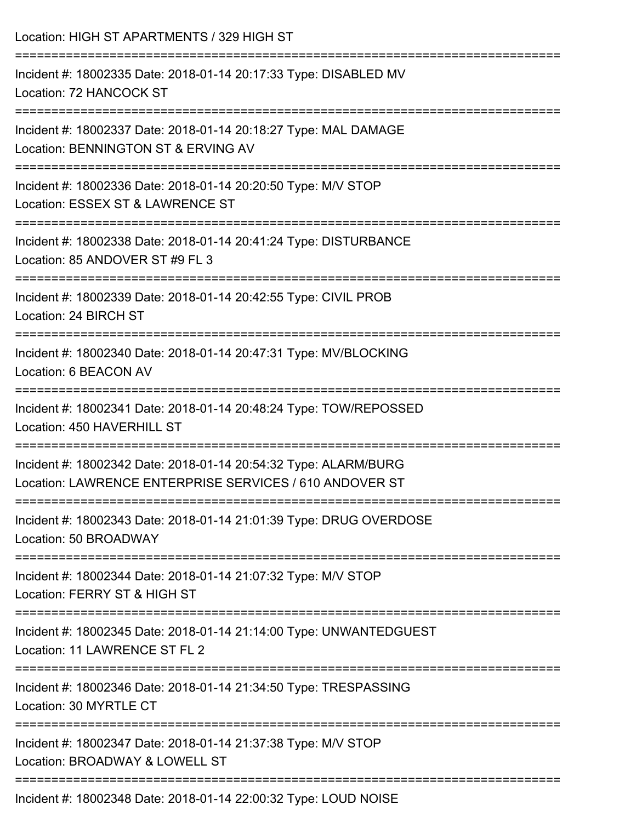| Location: HIGH ST APARTMENTS / 329 HIGH ST                                                                                 |
|----------------------------------------------------------------------------------------------------------------------------|
| Incident #: 18002335 Date: 2018-01-14 20:17:33 Type: DISABLED MV<br>Location: 72 HANCOCK ST                                |
| Incident #: 18002337 Date: 2018-01-14 20:18:27 Type: MAL DAMAGE<br>Location: BENNINGTON ST & ERVING AV                     |
| Incident #: 18002336 Date: 2018-01-14 20:20:50 Type: M/V STOP<br>Location: ESSEX ST & LAWRENCE ST                          |
| Incident #: 18002338 Date: 2018-01-14 20:41:24 Type: DISTURBANCE<br>Location: 85 ANDOVER ST #9 FL 3                        |
| Incident #: 18002339 Date: 2018-01-14 20:42:55 Type: CIVIL PROB<br>Location: 24 BIRCH ST                                   |
| Incident #: 18002340 Date: 2018-01-14 20:47:31 Type: MV/BLOCKING<br>Location: 6 BEACON AV                                  |
| Incident #: 18002341 Date: 2018-01-14 20:48:24 Type: TOW/REPOSSED<br>Location: 450 HAVERHILL ST                            |
| Incident #: 18002342 Date: 2018-01-14 20:54:32 Type: ALARM/BURG<br>Location: LAWRENCE ENTERPRISE SERVICES / 610 ANDOVER ST |
| Incident #: 18002343 Date: 2018-01-14 21:01:39 Type: DRUG OVERDOSE<br>Location: 50 BROADWAY                                |
| Incident #: 18002344 Date: 2018-01-14 21:07:32 Type: M/V STOP<br>Location: FERRY ST & HIGH ST                              |
| ==============<br>Incident #: 18002345 Date: 2018-01-14 21:14:00 Type: UNWANTEDGUEST<br>Location: 11 LAWRENCE ST FL 2      |
| Incident #: 18002346 Date: 2018-01-14 21:34:50 Type: TRESPASSING<br>Location: 30 MYRTLE CT                                 |
| Incident #: 18002347 Date: 2018-01-14 21:37:38 Type: M/V STOP<br>Location: BROADWAY & LOWELL ST                            |
| Incident #: 18002348 Date: 2018-01-14 22:00:32 Type: LOUD NOISE                                                            |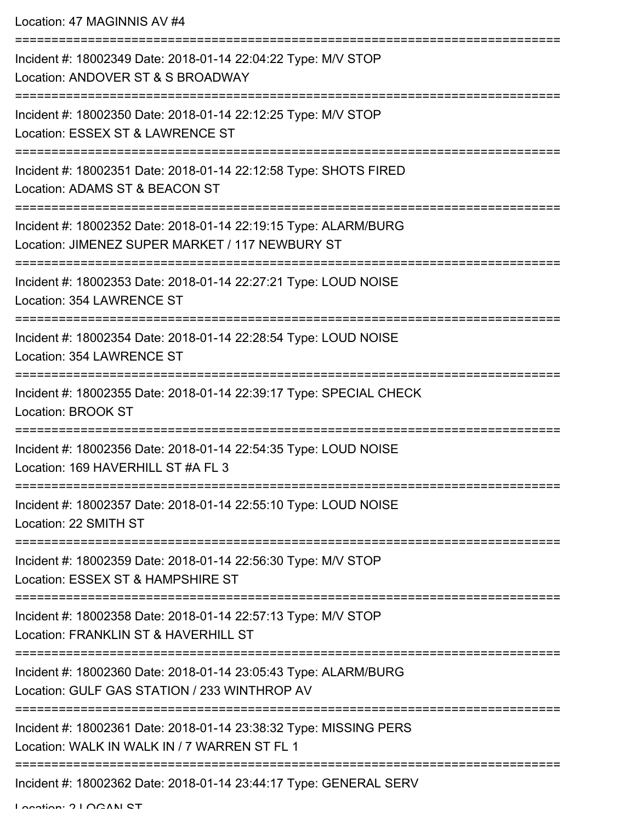| Incident #: 18002349 Date: 2018-01-14 22:04:22 Type: M/V STOP<br>Location: ANDOVER ST & S BROADWAY                            |
|-------------------------------------------------------------------------------------------------------------------------------|
| Incident #: 18002350 Date: 2018-01-14 22:12:25 Type: M/V STOP<br>Location: ESSEX ST & LAWRENCE ST                             |
| Incident #: 18002351 Date: 2018-01-14 22:12:58 Type: SHOTS FIRED<br>Location: ADAMS ST & BEACON ST                            |
| Incident #: 18002352 Date: 2018-01-14 22:19:15 Type: ALARM/BURG<br>Location: JIMENEZ SUPER MARKET / 117 NEWBURY ST            |
| Incident #: 18002353 Date: 2018-01-14 22:27:21 Type: LOUD NOISE<br>Location: 354 LAWRENCE ST                                  |
| Incident #: 18002354 Date: 2018-01-14 22:28:54 Type: LOUD NOISE<br>Location: 354 LAWRENCE ST                                  |
| Incident #: 18002355 Date: 2018-01-14 22:39:17 Type: SPECIAL CHECK<br><b>Location: BROOK ST</b>                               |
| Incident #: 18002356 Date: 2018-01-14 22:54:35 Type: LOUD NOISE<br>Location: 169 HAVERHILL ST #A FL 3                         |
| Incident #: 18002357 Date: 2018-01-14 22:55:10 Type: LOUD NOISE<br>Location: 22 SMITH ST                                      |
| Incident #: 18002359 Date: 2018-01-14 22:56:30 Type: M/V STOP<br>Location: ESSEX ST & HAMPSHIRE ST                            |
| Incident #: 18002358 Date: 2018-01-14 22:57:13 Type: M/V STOP<br>Location: FRANKLIN ST & HAVERHILL ST<br>-------------------- |
| Incident #: 18002360 Date: 2018-01-14 23:05:43 Type: ALARM/BURG<br>Location: GULF GAS STATION / 233 WINTHROP AV               |
| Incident #: 18002361 Date: 2018-01-14 23:38:32 Type: MISSING PERS<br>Location: WALK IN WALK IN / 7 WARREN ST FL 1             |
| -----------------------------------<br>Incident #: 18002362 Date: 2018-01-14 23:44:17 Type: GENERAL SERV                      |